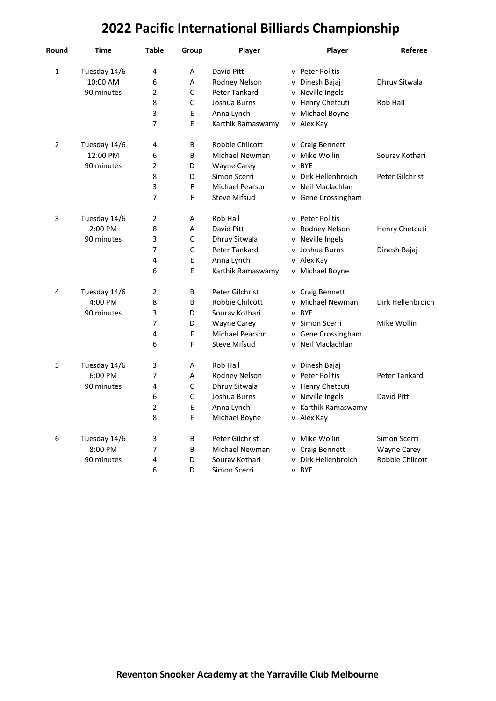## **2022 Pacific International Billiards Championship**

| Round          | Time         | <b>Table</b>   | Group        | Player               | Player                     | Referee            |
|----------------|--------------|----------------|--------------|----------------------|----------------------------|--------------------|
| 1              | Tuesday 14/6 | 4              | Α            | David Pitt           | v Peter Politis            |                    |
|                | 10:00 AM     | 6              | Α            | Rodney Nelson        | Dinesh Bajaj<br>v          | Dhruv Sitwala      |
|                | 90 minutes   | $\overline{2}$ | $\mathsf C$  | Peter Tankard        | Neville Ingels<br>v        |                    |
|                |              | 8              | $\mathsf C$  | Joshua Burns         | v Henry Chetcuti           | Rob Hall           |
|                |              | 3              | E            | Anna Lynch           | Michael Boyne<br>v         |                    |
|                |              | 7              | E            | Karthik Ramaswamy    | v Alex Kay                 |                    |
| $\overline{2}$ | Tuesday 14/6 | 4              | В            | Robbie Chilcott      | v Craig Bennett            |                    |
|                | 12:00 PM     | 6              | B            | Michael Newman       | Mike Wollin<br>v           | Sourav Kothari     |
|                | 90 minutes   | $\overline{2}$ | D            | <b>Wayne Carey</b>   | <b>BYE</b><br>v            |                    |
|                |              | 8              | D            | Simon Scerri         | v Dirk Hellenbroich        | Peter Gilchrist    |
|                |              | 3              | F            | Michael Pearson      | Neil Maclachlan<br>v       |                    |
|                |              | 7              | F            | <b>Steve Mifsud</b>  | Gene Crossingham<br>V      |                    |
| 3              | Tuesday 14/6 | $\overline{2}$ | Α            | Rob Hall             | v Peter Politis            |                    |
|                | 2:00 PM      | 8              | А            | David Pitt           | v Rodney Nelson            | Henry Chetcuti     |
|                | 90 minutes   | 3              | $\mathsf C$  | Dhruv Sitwala        | Neville Ingels<br>v        |                    |
|                |              | 7              | $\mathsf{C}$ | <b>Peter Tankard</b> | Joshua Burns<br>v          | Dinesh Bajaj       |
|                |              | 4              | E            | Anna Lynch           | Alex Kay<br>v              |                    |
|                |              | 6              | E            | Karthik Ramaswamy    | v Michael Boyne            |                    |
| 4              | Tuesday 14/6 | 2              | В            | Peter Gilchrist      | v Craig Bennett            |                    |
|                | 4:00 PM      | 8              | B            | Robbie Chilcott      | Michael Newman<br>v        | Dirk Hellenbroich  |
|                | 90 minutes   | 3              | D            | Sourav Kothari       | <b>BYF</b><br>$\mathsf{v}$ |                    |
|                |              | 7              | D            | <b>Wayne Carey</b>   | Simon Scerri<br>v          | Mike Wollin        |
|                |              | 4              | F            | Michael Pearson      | v Gene Crossingham         |                    |
|                |              | 6              | F            | <b>Steve Mifsud</b>  | v Neil Maclachlan          |                    |
| 5              | Tuesday 14/6 | 3              | Α            | Rob Hall             | Dinesh Bajaj<br>v          |                    |
|                | 6:00 PM      | 7              | A            | Rodney Nelson        | <b>Peter Politis</b><br>v  | Peter Tankard      |
|                | 90 minutes   | 4              | C            | Dhruy Sitwala        | v Henry Chetcuti           |                    |
|                |              | 6              | $\mathsf C$  | Joshua Burns         | v Neville Ingels           | David Pitt         |
|                |              | $\overline{2}$ | E            | Anna Lynch           | Karthik Ramaswamy<br>v     |                    |
|                |              | 8              | E            | Michael Boyne        | v Alex Kay                 |                    |
| 6              | Tuesday 14/6 | 3              | В            | Peter Gilchrist      | Mike Wollin<br>v           | Simon Scerri       |
|                | 8:00 PM      | 7              | B            | Michael Newman       | <b>Craig Bennett</b><br>v  | <b>Wayne Carey</b> |
|                | 90 minutes   | 4              | D            | Sourav Kothari       | Dirk Hellenbroich<br>v     | Robbie Chilcott    |
|                |              | 6              | D            | Simon Scerri         | v BYE                      |                    |